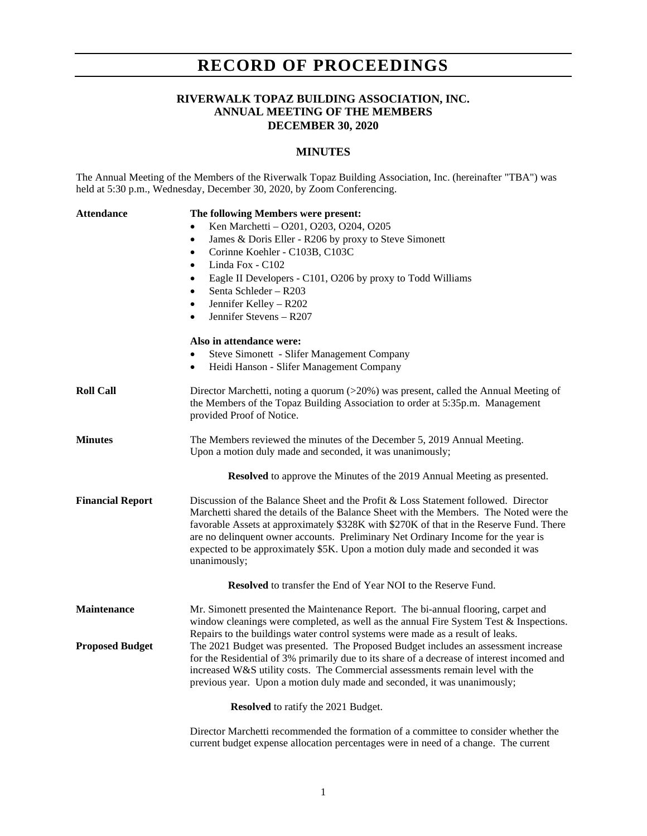## **RECORD OF PROCEEDINGS**

#### **RIVERWALK TOPAZ BUILDING ASSOCIATION, INC. ANNUAL MEETING OF THE MEMBERS DECEMBER 30, 2020**

#### **MINUTES**

The Annual Meeting of the Members of the Riverwalk Topaz Building Association, Inc. (hereinafter "TBA") was held at 5:30 p.m., Wednesday, December 30, 2020, by Zoom Conferencing.

| <b>Attendance</b>       | The following Members were present:                                                                                                                                                                                                                                                                                                                                                                                                                            |
|-------------------------|----------------------------------------------------------------------------------------------------------------------------------------------------------------------------------------------------------------------------------------------------------------------------------------------------------------------------------------------------------------------------------------------------------------------------------------------------------------|
|                         | Ken Marchetti - O201, O203, O204, O205                                                                                                                                                                                                                                                                                                                                                                                                                         |
|                         | James & Doris Eller - R206 by proxy to Steve Simonett<br>$\bullet$                                                                                                                                                                                                                                                                                                                                                                                             |
|                         | Corinne Koehler - C103B, C103C<br>$\bullet$                                                                                                                                                                                                                                                                                                                                                                                                                    |
|                         | Linda Fox - C102                                                                                                                                                                                                                                                                                                                                                                                                                                               |
|                         | Eagle II Developers - C101, O206 by proxy to Todd Williams<br>$\bullet$                                                                                                                                                                                                                                                                                                                                                                                        |
|                         | Senta Schleder – R203<br>$\bullet$                                                                                                                                                                                                                                                                                                                                                                                                                             |
|                         | Jennifer Kelley - R202<br>$\bullet$                                                                                                                                                                                                                                                                                                                                                                                                                            |
|                         | Jennifer Stevens - R207<br>$\bullet$                                                                                                                                                                                                                                                                                                                                                                                                                           |
|                         | Also in attendance were:                                                                                                                                                                                                                                                                                                                                                                                                                                       |
|                         | Steve Simonett - Slifer Management Company                                                                                                                                                                                                                                                                                                                                                                                                                     |
|                         | Heidi Hanson - Slifer Management Company<br>$\bullet$                                                                                                                                                                                                                                                                                                                                                                                                          |
| <b>Roll Call</b>        | Director Marchetti, noting a quorum (>20%) was present, called the Annual Meeting of<br>the Members of the Topaz Building Association to order at 5:35p.m. Management                                                                                                                                                                                                                                                                                          |
|                         | provided Proof of Notice.                                                                                                                                                                                                                                                                                                                                                                                                                                      |
| <b>Minutes</b>          | The Members reviewed the minutes of the December 5, 2019 Annual Meeting.                                                                                                                                                                                                                                                                                                                                                                                       |
|                         | Upon a motion duly made and seconded, it was unanimously;                                                                                                                                                                                                                                                                                                                                                                                                      |
|                         | Resolved to approve the Minutes of the 2019 Annual Meeting as presented.                                                                                                                                                                                                                                                                                                                                                                                       |
| <b>Financial Report</b> | Discussion of the Balance Sheet and the Profit & Loss Statement followed. Director<br>Marchetti shared the details of the Balance Sheet with the Members. The Noted were the<br>favorable Assets at approximately \$328K with \$270K of that in the Reserve Fund. There<br>are no delinquent owner accounts. Preliminary Net Ordinary Income for the year is<br>expected to be approximately \$5K. Upon a motion duly made and seconded it was<br>unanimously; |
|                         | Resolved to transfer the End of Year NOI to the Reserve Fund.                                                                                                                                                                                                                                                                                                                                                                                                  |
| <b>Maintenance</b>      | Mr. Simonett presented the Maintenance Report. The bi-annual flooring, carpet and<br>window cleanings were completed, as well as the annual Fire System Test $\&$ Inspections.<br>Repairs to the buildings water control systems were made as a result of leaks.                                                                                                                                                                                               |
| <b>Proposed Budget</b>  | The 2021 Budget was presented. The Proposed Budget includes an assessment increase<br>for the Residential of 3% primarily due to its share of a decrease of interest incomed and<br>increased W&S utility costs. The Commercial assessments remain level with the<br>previous year. Upon a motion duly made and seconded, it was unanimously;                                                                                                                  |
|                         | <b>Resolved</b> to ratify the 2021 Budget.                                                                                                                                                                                                                                                                                                                                                                                                                     |
|                         | Director Marchetti recommended the formation of a committee to consider whether the                                                                                                                                                                                                                                                                                                                                                                            |

current budget expense allocation percentages were in need of a change. The current